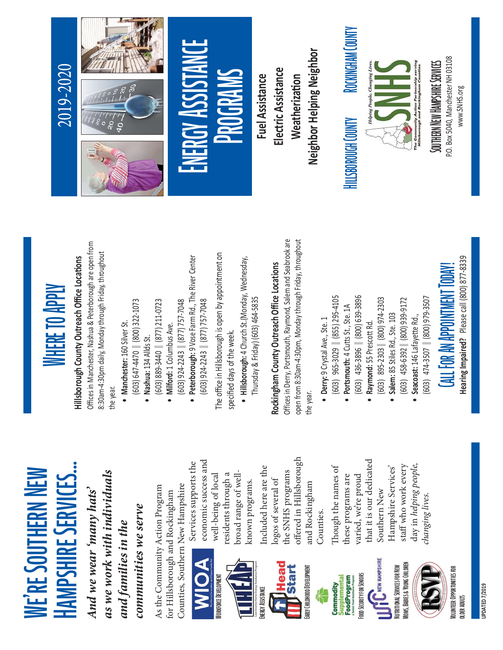# **IF RESOUTHERN NEW RESOUTHERN NEW THERN NEW THERN NEW THERM NEW SERVICES...**<br>And we wear 'many hats'<br>as we work with individuals<br>and families in the serve serve<br>communities we serve<br>communities we serve<br>communities we ser









offered in Hillsborough<br>and Rockingham<br>Counties.<br>Though the names of<br>these programs are<br>varied, we're proud<br>that it is our dedicated<br>Southern New<br>Hampshire Services'<br>staff who work every<br>day in *helping people,<br>changing li* 



staff who work every<br>day in *helping people,<br>hanging lives.* 

# Hillsborough County Outreach Office Locations

**WHERE TO APPLY**<br>Hillsborough County Outreach Office Locations<br>Offices in Manchester, Nashua & Peterborough are open fr<br>8:30am-4:30pm daily, Monday through Friday, throughout **Hillsborough County Outreach**<br>Offices in Manchester, Nashua & Pet<br>8:30am-4:30pm daily, Monday throu<br>(603) 647-4470 || (800) 322-1<br>• Mashua: 134 Allds St.<br>• Milford: 1 Columbus Ave.<br>(603) 924-2243 || (877) 757-7<br>• Peterbor **ffice Loca**<br>porough are<br>Friday, three<br>3<br>3<br>The River ( tions<br>· open<br>›ughou Offices in Manchester, Nashua & Peterborough are open from ffices in Manchester, Nashua<br>30am-4:30pm daily, Monday<br>e year.<br>603) 647-4470 || (800)<br>• Nashua: 134 Allds St.<br>• Nashua: 134 Allds St.<br>603) 924-2243 || (877)<br>• Peterborough: 9 Vose F<br>• Peterborough: 9 Vose F<br>e office in Hil & Peterborough are open from<br>through Friday, throughout<br>121-0723<br>132-1073<br>m Rd., The River Center<br>157-7048<br>ppen by appointment on<br>464-5835<br>**ch Office Locations**<br>mond, Salem and Seabrook ar<br>day through Friday, throughou

- •
- || (800) 322-1073<br>!s St.<br>|| (877) 211-0723<br>|| (877) 757-7048<br>| (877) 757-7048<br>| (877) 757-7048<br>week.<br>"Nutron St. (Monda"<br>"Nutron" 1003) 464-5833 ● **Nashua**: 134 Allds St.<br>
(603) 889-3440 || (87<br>
(603) 924-2243 || (87<br>
(603) 924-2243 || (87<br>
(603) 924-2243 || (87<br>
e office in Hillsborough: 4 Chur<br>
e effied days of the wee<br>
Thursday & Friday) (6<br>
■ Hill**sborough:**

•

- || (877) 211-0723<br>hbus Ave.<br>|| (877) 757-7048<br>| (877) 757-7048<br>| (877) 757-7048<br>| week.<br>Muth, Raymond, Sa<br>**Outreach Offic**<br>hth, Raymond, Sa • Peterborough: 9 Vose Farm Rd., The River Center
- 

## Rockingham County Outreach Office Locations

8:30am-4:30pm daily, Monday through Friday, throughout<br>the year.<br>
• Mandnester: 160 Silver St.<br>
603) 647-4470 || (800) 322-1073<br>
• Nashua: 134 Allds St.<br>
• OSO3) 924-2243 || (877) 757-7048<br>
• Peterborough: 9 Vose Farm Rd., ● Milford: 1 Columbus Ave.<br>(603) 924-2243 || (877) 7<br>(603) 924-2243 || (877) 7<br>e office in Hillsborough is o<br>ecified days of the week.<br>• Hillsborough: 4 Church St<br>• Hillsborough: 4 Church St<br>• Hillsborough: 4 Church St<br>• || (877) 757-7048<br>|| (877) 757-7048<br>|| (877) 757-7048<br>week.<br>20urch 5t.(Mondat<br>| Nicolar **Coureach Offic**<br>**Outreach Offic**<br>buth, Raymond, Sagneth, Raymond, Sagneth, Raymond, Sagneth, Raymond, Sagneth ● Peterborough: 9 Vose Farm Rd., The River Center<br>(603) 924-2243 || (877) 757-7048<br>ecified days of the week.<br>Thursday & Friday) (603) 464-5835<br>Thursday & Friday) (603) 464-5835<br>es in Derry, Portsmouth, Raymond, Salem and || (877) 757-7048<br>Dugh is open by a<br>week.<br>"Thurch St.(Monda=<br>"We, Sammond, Sammond, Sammond, Sammond, Sammond, Sammond, Sammond, Sammond,<br>"Me., Ste. 1<br>"Ave., Ste. 1 The office in Hillsborough is open by appointment on<br>specified days of the week.<br>• Hills**borough:** 4 Church St.(Monday, Wednesday,<br>o**ckingham County Outreach Office Locations**<br>en from 8:30am-4:30pm, Monday through Friday, & Friday) (603) 464-5835<br>**ortsmouth, Raymond, Salicar Office**<br>The Salom, Monday throught<br>The Salomey (855) 295-4105<br>5-3029 || (855) 295-4105<br>6-3896 || (800) 639-3896<br>5-2303 || (800) 974-2303<br>Stilles Rd., Ste. 103<br>146 Lafay Rockingham County Outreach Office Locations<br>Offices in Derry, Portsmouth, Raymond, Salem and Seabrook are<br>the year.<br>
• Derry, S Crystal Ave., Ste. 1.<br>
• Portsmouth: 4 Cutts St., Ste. 1.<br>
• GO3) 4:36-309 || (805) 959-3105<br>

- 
- · Portsmouth: 4 Cutts St., Ste. 1A
- || (855) 295-4105<br>#tts St., Ste. 1A<br>#( 800) 974-2303<br>| (800) 974-2303<br>| (800) 939-9172<br>| (800) 979-3507<br>| (800) 979-3507<br>| (RPPOINTMEN) ● Potsmouth: 4 Cutts St., Ste. 1A<br>
(603) 436-3896 || (800) 639-38<br>
(603) 895-2303 || (800) 974-23<br>
(603) 458-6392 || (800) 939-91<br>
(603) 458-6392 || (800) 939-91<br>
(603) 474-3507 || (800) 979-35<br>
(ALL FOR AN APPOINTIM<br>
Hea •● Raymond: 55 Prescott Rd.<br>
(603) 895-2303 || (800) 9<br>
3 Salem: 85 Stiles Rd., Ste. 1<br>
(603) 458-6392 || (800) 9<br>
9 Seacoast: 146 Lafayette R<br>
(603) 474-3507 || (800) 9<br>
(ALL FOR AN APPO)<br>
Hearing Impaired? Plea<br>
Hearing •
- Salem: 85 Stiles Rd., Ste. 103<br>(603) 458-6392 || (800) 939-<br>• Seacoast: 146 Lafayette Rd.,<br>(603) 474-3507 || (800) 979<br>**[A][L FOR AN APPOIN**<br>Hearing Impaired? Please •
	-

### • Seacoast: 146 Lafayette Rd.,<br>(603) 474-3507 || (800) 979<br>**CALL FOR AN APPOIN**<br>Hearing Impaired? Please

#### 2019-2020



# Call Form and the second the second the second the second term of the second term in the second of the second term of the second term of the second term of the second term of the second term of the second term of the secon

Neighbor Helping Neighbor<br>ELSBOROUGH (OUNTY ROCKINGHAM (